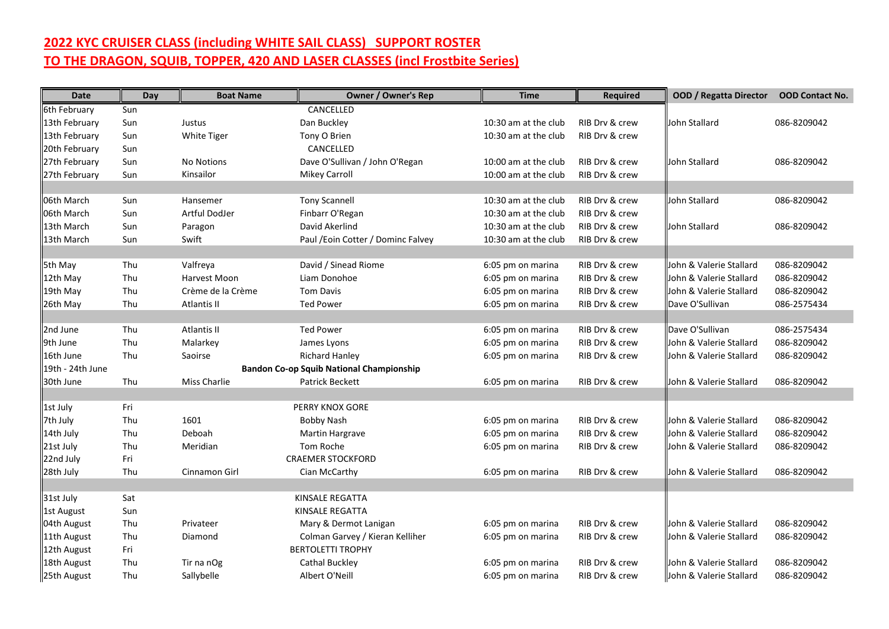## **2022 KYC CRUISER CLASS (including WHITE SAIL CLASS) SUPPORT ROSTER TO THE DRAGON, SQUIB, TOPPER, 420 AND LASER CLASSES (incl Frostbite Series)**

| <b>Date</b>      | Day | <b>Boat Name</b>                                | <b>Owner / Owner's Rep</b>         | <b>Time</b>          | Required       | <b>OOD / Regatta Director</b> | <b>OOD Contact No.</b> |
|------------------|-----|-------------------------------------------------|------------------------------------|----------------------|----------------|-------------------------------|------------------------|
| 6th February     | Sun |                                                 | CANCELLED                          |                      |                |                               |                        |
| 13th February    | Sun | Justus                                          | Dan Buckley                        | 10:30 am at the club | RIB Drv & crew | John Stallard                 | 086-8209042            |
| 13th February    | Sun | White Tiger                                     | Tony O Brien                       | 10:30 am at the club | RIB Drv & crew |                               |                        |
| 20th February    | Sun |                                                 | CANCELLED                          |                      |                |                               |                        |
| 27th February    | Sun | <b>No Notions</b>                               | Dave O'Sullivan / John O'Regan     | 10:00 am at the club | RIB Drv & crew | John Stallard                 | 086-8209042            |
| 27th February    | Sun | Kinsailor                                       | <b>Mikey Carroll</b>               | 10:00 am at the club | RIB Drv & crew |                               |                        |
|                  |     |                                                 |                                    |                      |                |                               |                        |
| 06th March       | Sun | Hansemer                                        | <b>Tony Scannell</b>               | 10:30 am at the club | RIB Drv & crew | John Stallard                 | 086-8209042            |
| 06th March       | Sun | Artful DodJer                                   | Finbarr O'Regan                    | 10:30 am at the club | RIB Drv & crew |                               |                        |
| 13th March       | Sun | Paragon                                         | David Akerlind                     | 10:30 am at the club | RIB Drv & crew | John Stallard                 | 086-8209042            |
| 13th March       | Sun | Swift                                           | Paul / Eoin Cotter / Dominc Falvey | 10:30 am at the club | RIB Drv & crew |                               |                        |
|                  |     |                                                 |                                    |                      |                |                               |                        |
| 5th May          | Thu | Valfreya                                        | David / Sinead Riome               | 6:05 pm on marina    | RIB Drv & crew | John & Valerie Stallard       | 086-8209042            |
| 12th May         | Thu | Harvest Moon                                    | Liam Donohoe                       | 6:05 pm on marina    | RIB Drv & crew | John & Valerie Stallard       | 086-8209042            |
| 19th May         | Thu | Crème de la Crème                               | <b>Tom Davis</b>                   | 6:05 pm on marina    | RIB Drv & crew | John & Valerie Stallard       | 086-8209042            |
| 26th May         | Thu | Atlantis II                                     | <b>Ted Power</b>                   | 6:05 pm on marina    | RIB Drv & crew | Dave O'Sullivan               | 086-2575434            |
|                  |     |                                                 |                                    |                      |                |                               |                        |
| 2nd June         | Thu | Atlantis II                                     | <b>Ted Power</b>                   | 6:05 pm on marina    | RIB Drv & crew | Dave O'Sullivan               | 086-2575434            |
| 9th June         | Thu | Malarkey                                        | James Lyons                        | 6:05 pm on marina    | RIB Drv & crew | John & Valerie Stallard       | 086-8209042            |
| 16th June        | Thu | Saoirse                                         | <b>Richard Hanley</b>              | 6:05 pm on marina    | RIB Drv & crew | John & Valerie Stallard       | 086-8209042            |
| 19th - 24th June |     | <b>Bandon Co-op Squib National Championship</b> |                                    |                      |                |                               |                        |
| 30th June        | Thu | <b>Miss Charlie</b>                             | Patrick Beckett                    | 6:05 pm on marina    | RIB Drv & crew | John & Valerie Stallard       | 086-8209042            |
|                  |     |                                                 |                                    |                      |                |                               |                        |
| 1st July         | Fri |                                                 | PERRY KNOX GORE                    |                      |                |                               |                        |
| 7th July         | Thu | 1601                                            | Bobby Nash                         | 6:05 pm on marina    | RIB Drv & crew | John & Valerie Stallard       | 086-8209042            |
| 14th July        | Thu | Deboah                                          | Martin Hargrave                    | 6:05 pm on marina    | RIB Drv & crew | John & Valerie Stallard       | 086-8209042            |
| 21st July        | Thu | Meridian                                        | Tom Roche                          | 6:05 pm on marina    | RIB Drv & crew | John & Valerie Stallard       | 086-8209042            |
| 22nd July        | Fri |                                                 | <b>CRAEMER STOCKFORD</b>           |                      |                |                               |                        |
| 28th July        | Thu | Cinnamon Girl                                   | Cian McCarthy                      | 6:05 pm on marina    | RIB Drv & crew | John & Valerie Stallard       | 086-8209042            |
|                  |     |                                                 |                                    |                      |                |                               |                        |
| 31st July        | Sat |                                                 | KINSALE REGATTA                    |                      |                |                               |                        |
| 1st August       | Sun |                                                 | KINSALE REGATTA                    |                      |                |                               |                        |
| 04th August      | Thu | Privateer                                       | Mary & Dermot Lanigan              | 6:05 pm on marina    | RIB Drv & crew | John & Valerie Stallard       | 086-8209042            |
| 11th August      | Thu | Diamond                                         | Colman Garvey / Kieran Kelliher    | 6:05 pm on marina    | RIB Drv & crew | John & Valerie Stallard       | 086-8209042            |
| 12th August      | Fri |                                                 | <b>BERTOLETTI TROPHY</b>           |                      |                |                               |                        |
| 18th August      | Thu | Tir na nOg                                      | Cathal Buckley                     | 6:05 pm on marina    | RIB Dry & crew | Uohn & Valerie Stallard       | 086-8209042            |
| 25th August      | Thu | Sallybelle                                      | Albert O'Neill                     | 6:05 pm on marina    | RIB Drv & crew | John & Valerie Stallard       | 086-8209042            |